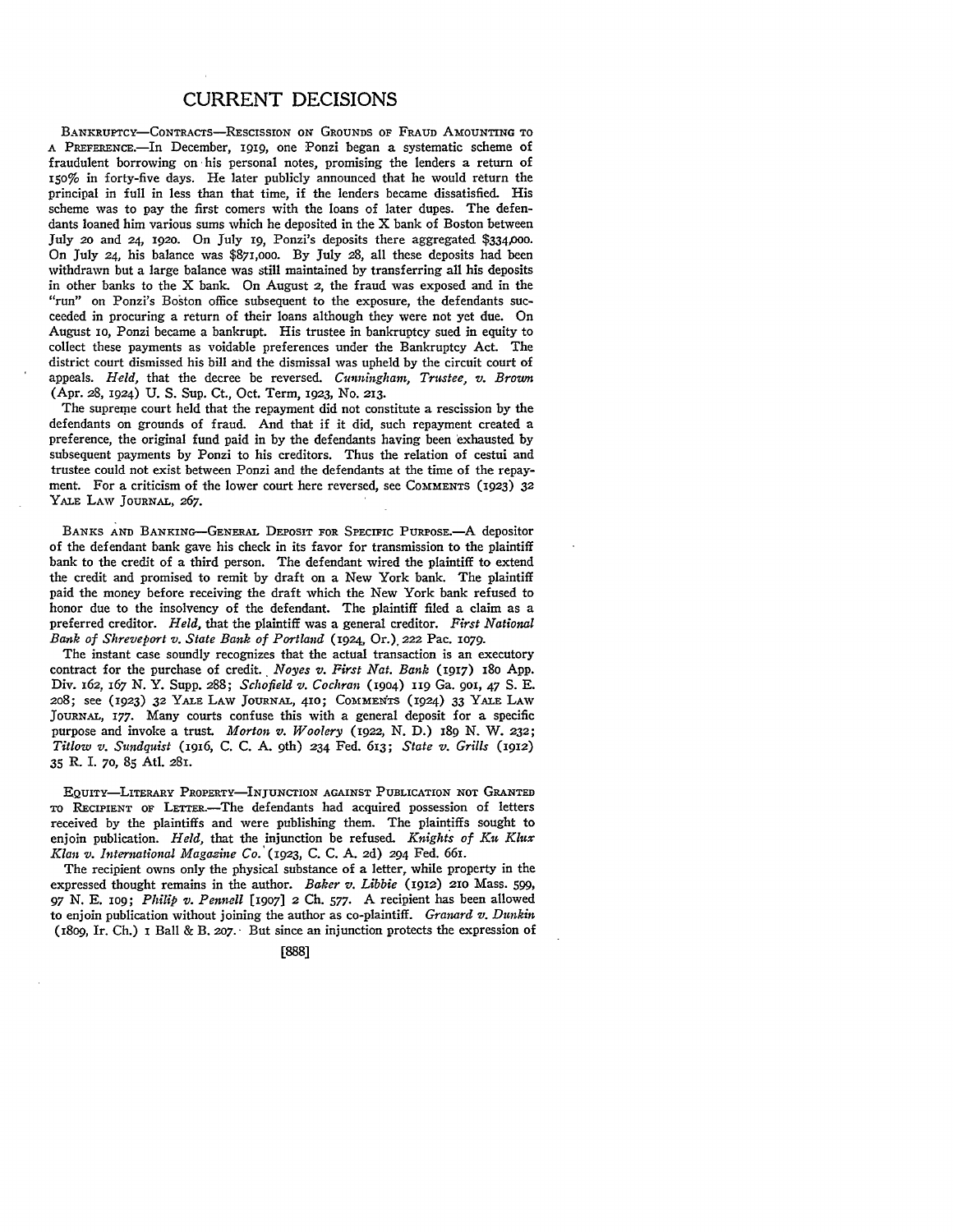## CURRENT DECISIONS

BANKRUPTCY-CONTRACTS-RESCISSION **ON GROUNDS** OF **FRAUD AMOUNTING** TO A PREFERENE.-In December, *1919,* one Ponzi began a systematic scheme of fraudulent borrowing on his personal notes, promising the lenders a return of 150% in forty-five days. He later publicly announced that he would return the principal in full in less than that time, if the lenders became dissatisfied. His scheme was to pay the first comers with the loans of later dupes. The defendants loaned him various sums which he deposited in the X bank of Boston between July 2o and 24, 192o. On July ig, Ponzi's deposits there aggregated \$334,000. On July 24, his balance was \$871,ooo. By July 28, all these deposits had been withdrawn but a large balance was still maintained by transferring all his deposits in other banks to the X bank. On August 2, the fraud was exposed and in the "run" on Ponzi's Boston office subsequent to the exposure, the defendants succeeded in procuring a return of their loans although they were not yet due. On August io, Ponzi became a bankrupt. His trustee in bankruptcy sued in equity to collect these payments as voidable preferences under the Bankruptcy Act. The district court dismissed his bill and the dismissal was upheld by the circuit court of appeals. *Held,* that the decree be reversed. *Cunningham, Trustee, v. Brown* (Apr. **28,** 1924) U. S. Sup. Ct., Oct. Term, 1923, No. 213.

The supreme court held that the repayment did not constitute a rescission **by** the defendants on grounds of fraud. And that if it did, such repayment created a preference, the original fund paid in by the defendants having been exhausted **by** subsequent payments by Ponzi to his creditors. Thus the relation of cestui and trustee could not exist between Ponzi and the defendants at the time of the repayment. For a criticism of the lower court here reversed, see COMMENTS (1923) 32 YALE LAW JOURNAL, **267.**

BANKS **AND** BANKING-GENERAL DEPOSIT FOR SPECIFIC **PURPOSE.-A** depositor of the defendant bank gave his check in its favor for transmission to the plaintiff bank to the credit of a third person. The defendant wired the plaintiff to extend the credit and promised to remit by draft on a New York bank. The plaintiff paid the money before receiving the draft which the New York bank refused to honor due to the insolvency of the defendant. The plaintiff filed a claim as a preferred creditor. *Held,* that the plaintiff was a general creditor. *First National Bank of Shreveport v. State Bank of Portland* (1924., Or.). 222 Pac. 1079.

The instant case soundly recognizes that the actual transaction is an executory contract for the purchase of credit. *Noyes v. First Nat. Bank* (1917) 18o App. Div. 162. *167* N. Y. Supp. 288; *Schofield v. Cochran* (19o4) i19 Ga. 9oi, 47 **S.** E. 208; see (1923) 32 YALE LAW JOURNAL, 410; COMMENTS (1924) 33 YALE LAW JOURNAL, 177. Many courts confuse this with a general deposit for a specific purpose and invoke a trust. Morton v. Woolery (1922, N. D.) 189 N. W. 232; *Titlow v. Sundquist* (1916, C. C. A. 9th) 234 Fed. 613; *State v. Grills* (1912) 35 R. I. 70, **85** AtI. 281.

EQUITY-LITERARY PROPERTY-INJUNCTION AGAINST **PUBLICATION NOT** GRANTED TO RECIPIENT OF LETTER.-The defendants had acquired possession of letters received by the plaintiffs and were publishing them. The plaintiffs sought to enjoin publication. *Held,* that the injunction be refused. *Knights of Ku Klux Klan v. International Magazine Co. (1923,* C. **C. A. 2d)** 294 Fed. **661.**

The recipient owns only the physical substance of a letter, while property in the expressed thought remains in the author. *Baker v. Libbie* **(1912)** 21o Mass. **599,** *97* N. E. IO9; *Philip v. Pennell* [1907] 2 Ch. 577. **A** recipient has been allowed to enjoin publication without joining the author as co-plaintiff. *Granard v. Dunkin* (18o9, Ir. Ch.) I Ball & B. *2o7.* But since an injunction protects the expression of

**[888]**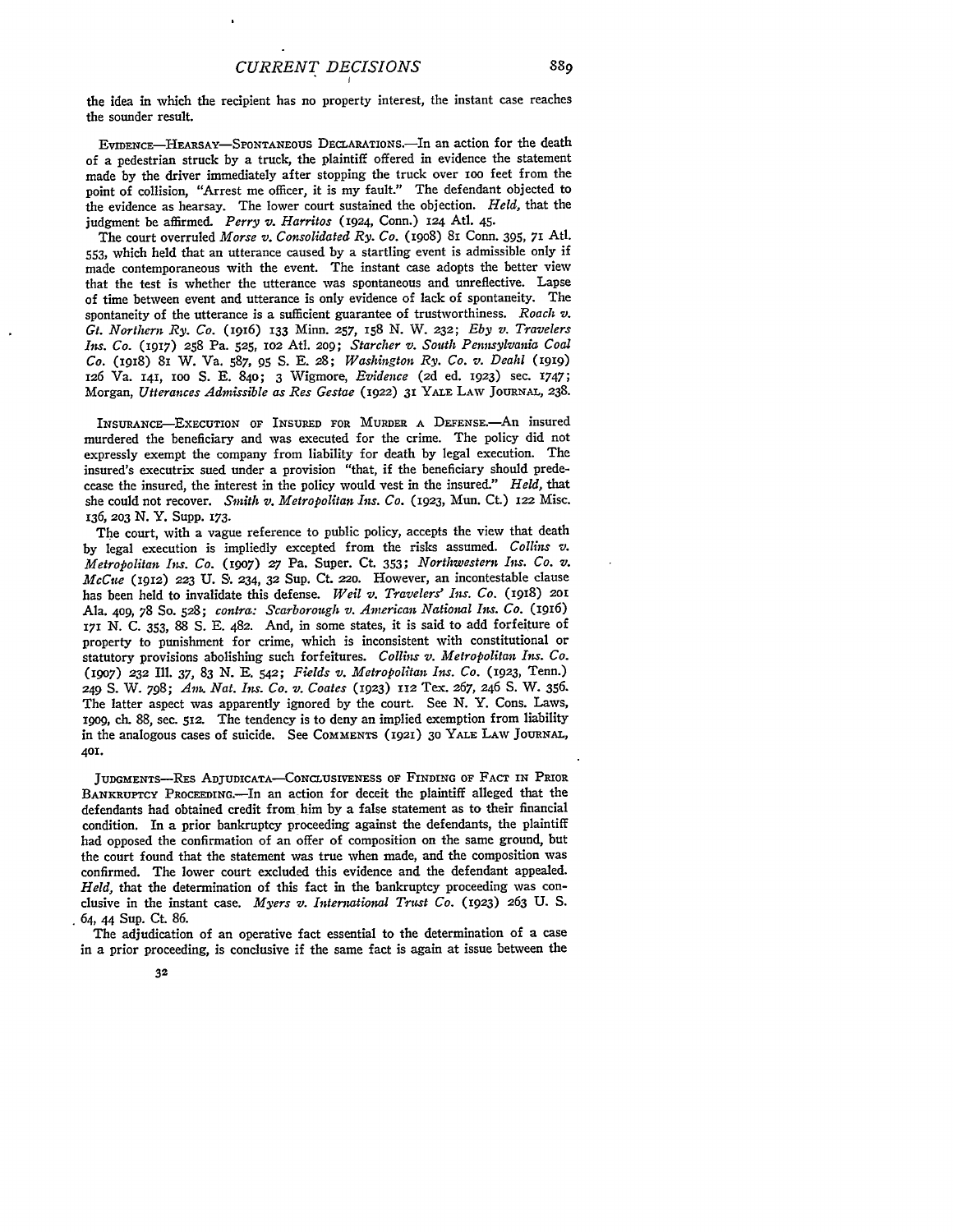the idea in which the recipient has no property interest, the instant case reaches the sounder result.

EVIDENcE-HEARSAY-SPONTANEOUS DECLARATION.-In an action for the death of a pedestrian struck by a truck, the plaintiff offered in evidence the statement made by the driver immediately after stopping the truck over Ioo feet from the point of collision, "Arrest me officer, it is my fault." The defendant objected to the evidence as hearsay. The lower court sustained the objection. *Held,* that the judgment be affirmed. *Perry v. Harritos* (1924, Conn.) 124 Atl. 45.

The court overruled *Morse v. Consolidated Ry. Co.* (19o8) 81 Conn. 395, 71 Atd. 553, which held that an utterance caused by a startling event is admissible only if made contemporaneous with the event. The instant case adopts the better view that the test is whether the utterance was spontaneous and unreflective. Lapse of time between event and utterance is only evidence of lack of spontaneity. The spontaneity of the utterance is a sufficient guarantee of trustworthiness. *Roach v. Gt. Northern Ry. Co.* (1916) 133 Minn. 257, **I58** N. W. 232; *Eby v. Travelers Is. Co.* (1917) 258 Pa. 525, **1o2** Atl. 209; *Starcher v. South Pennsylvania Coal Co.* (1918) 81 W. Va. 587, 95 S. E. *28; Washington Ry. Co. v. Deahi (1919)* 126 Va. 141, ioo S. E. 840; 3 Wigmore, *Evidence* **(2d** ed. 1923) sec. 1747; Morgan, *Utterances Admissible as Res Gestae* (1922) 31 YALE LAW **JOURNAL,** 238.

INSURANCE-EXECUTION OF INSURED FOR MURDER A DEFENSE.- An insured murdered the beneficiary and was executed for the crime. The policy did not expressly exempt the company from liability for death by legal execution. The insured's executrix sued under a provision "that, if the beneficiary should predecease the insured, the interest in the policy would vest in the insured." *Held,* that she could not recover. *Smith v. Metropolitan Ins. Co.* (1923, Mun. Ct.) 122 Misc. 136, 203 **N.** Y. Supp. 173.

The court, with a vague reference to public policy, accepts the view that death by legal execution is impliedly excepted from the risks assumed. *Collins v. Metropolitan Ins. Co.* (19o7) *27* Pa. Super. Ct. 353; *Northwestern Ins. Co. v. McCue* (1912) 223 **U. S.** 234, 32 Sup. Ct. 22o. However, an incontestable clause has been held to invalidate this defense. *Weil v. Travelers' Ins. Co.* (I9I8) 201 Ala. 409, 78 So. 528; *contra: Scarborough v. American National Ins. Co. (1916)* <sup>171</sup>**N.** C. 353, 88 **S.** E. 482. And, in some states, it is said to add forfeiture of property to punishment for crime, which is inconsistent with constitutional or statutory provisions abolishing such forfeitures. *Collins v. Metropolitan Ins. Co.* (1907) **232** Ill. **37,** 83 *N.* **E.** 542; *Fields v. Metropolitan Ins. Co.* (1923, Tenn.) 249 **S.** W. 798; *Am. Nat. Ins. Co. v. Coates* (1923) 112 Tex. 267, 246 **S.** W. 356. The latter aspect was apparently ignored by the court. See N. Y. Cons. Laws, 19o9, ch. 88, sec. 512. The tendency is to deny an implied exemption from liability in the analogous cases of suicide. See **COMMENTS** (1921) 30 YALE LAW JOURNAL, 401.

JUDGMENTS-REs **ADjUDICATA-CONcLUSIVENESS** OF FINDING OF FACT **IN** PRIOR BANKRUPTCY PROCEEDING.-In an action for deceit the plaintiff alleged that the defendants had obtained credit from him by a false statement as to their financial condition. In a prior bankruptcy proceeding against the defendants, the plaintiff had opposed the confirmation of an offer of composition on the same ground, but the court found that the statement was true when made, and the composition was confirmed. The lower court excluded this evidence and the defendant appealed. *Held,* that the determination of this fact in the bankruptcy proceeding was conclusive in the instant case. *Myers v. International Truat Co.* (1923) 263 U. S. 64, 44 Sup. Ct. 86.

The adjudication of an operative fact essential to the determination of a case in a prior proceeding, is conclusive if the same fact is again at issue between the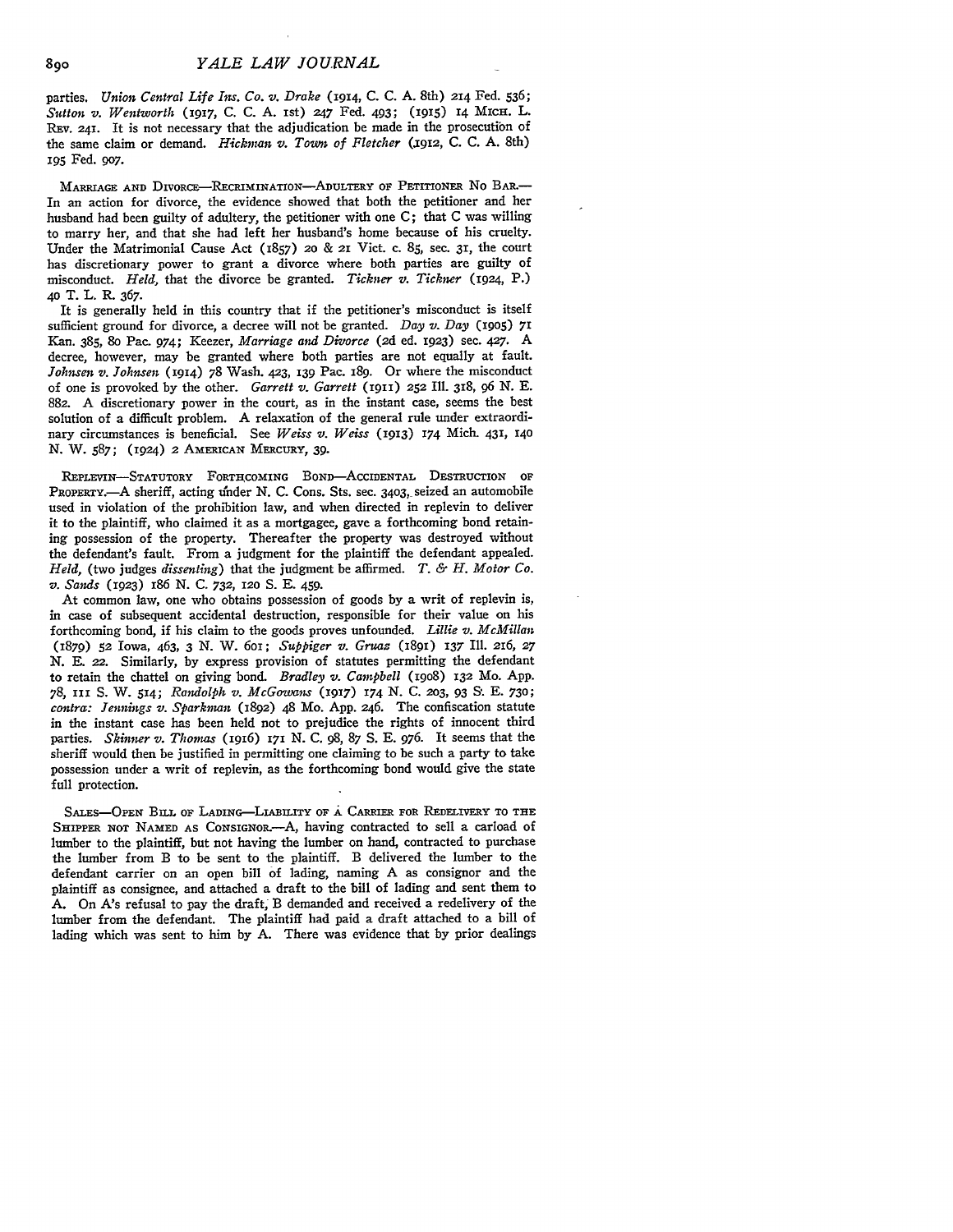parties. *Union Central Life Im. Co. v. Drake* (1914, C. **C.** A. 8th) 214 Fed. 536; *Sutton v. Wentworth* **(1917,** C. C. A. ist) *247* Fed. 493; (1915) 14 MICH. L. REV. **241.** It is not necessary that the adjudication be made in the prosecution of the same claim or demand. *Hickman v. Town of Fletcher* (jqi2, C. C. A. 8th) 195 Fed. 9o7.

MARRIAGE **AND** DIVORCE-REcRIMINATIoN-ADULTERY OF PETITIONER No **BAR--** In an action for divorce, the evidence showed that both the petitioner and her husband had been guilty of adultery, the petitioner with one **C;** that C was willing to marry her, and that she had left her husband's home because of his cruelty. Under the Matrimonial Cause Act (1857) **20** & 21 Vict. c. 85, sec. 31, the court has discretionary power to grant a divorce where both parties are guilty of misconduct. *Held*, that the divorce be granted. *Tickner v. Tickner* (1924, P.) 4o T. L. R. 367.

It is generally held in this country that if the petitioner's misconduct is itself sufficient ground for divorce, a decree will not be granted. *Day v. Day* **(1905) 71** Kan. 385, 8o Pac. 974; Keezer, *Marriage and Divorce* **(2d** ed. 1923) sec. 427. A decree, however, may be granted where both parties are not equally at fault. *Johnsen v. Johnsen* (1914) 78 Wash. 423, **139** Pac. 189. Or where the misconduct of one is provoked **by** the other. *Garrett v. Garrett* (191I) **252** Ill. 318, *96* N. E. 882. A discretionary power in the court, as in the instant case, seems the best solution of a difficult problem. A relaxation of the general rule under extraordinary circumstances is beneficial. See *Weiss v. Weiss* **(1913) 174** Mich. 431, **140** N. W. 587; (1924) 2 **AMERICAN** MERCURY, *39.*

**REPLEVIN-STATUTORY FORTHCOMING BOND--AccIDENTAL** DESTRUCTION OF **PROPERTY.-A** sheriff, acting under **N. C.** Cons. Sts. sec. **3403,** seized an automobile used in violation of the prohibition law, and when directed in replevin to deliver it to the plaintiff, who claimed it as a mortgagee, gave a forthcoming bond retaining possession of the property. Thereafter the property was destroyed without the defendant's fault. From a judgment for the plaintiff the defendant appealed. *Held,* (two judges *dissenting)* that the judgment be affirmed. *T. & H. Motor Co. v. Sands* **(1923)** 186 **N. C.** *732, 120* **S. E.** 459.

At common law, one who obtains possession of goods **by** a writ of replevin is, in case of subsequent accidental destruction, responsible for their value on his forthcoming bond, if his claim to the goods proves unfounded. *Lillie v. McMillan* (1879) **52** Iowa, 463, 3 *N.* W. 6oi; *Suppiger v. Gruaz* (1891) **137** Ill. *216,* **27** *N.* **E. 22.** Similarly, **by** express provision of statutes permitting the defendant to retain the chattel on giving bond. *Bradley v. Campbell* (19o8) 132 Mo. App. 78, **III S.** W. **514;** *Randolph v. McGowans* (1917) **174 N. C.** 2o3, 93 **S. E.** 73o; *contra: Jennings v. Sparkman* (1892) 48 Mo. App. 246. The confiscation statute in the instant case has been held not to prejudice the rights of innocent third parties. *Skinner v. Thomas* (1916) **171 N.** C. **98,** 87 S. E. 976. It seems that the sheriff would then be justified in permitting one claiming to be such a party to take possession under a writ of replevin, as the forthcoming bond would give the state full protection.

SALES-OPEN BILL OF LADING-LIABILITY OF A CARRIER FOR REDELIVERY TO THE SHIPPER NOT NAMED AS CONSIGNOR.-- A, having contracted to sell a carload of lumber to the plaintiff, but not having the lumber on hand, contracted to purchase the lumber from B to be sent to the plaintiff. B delivered the lumber to the defendant carrier on an open bill of lading, naming A as consignor and the plaintiff as consignee, and attached a draft to the bill of lading and sent them to A. On A's refusal to pay the draft, B demanded and received a redelivery of the lumber from the defendant. The plaintiff had paid a draft attached to a bill of lading which was sent to him by A. There was evidence that by prior dealings